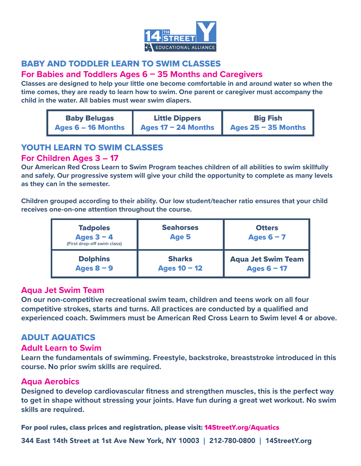

# BABY AND TODDLER LEARN TO SWIM CLASSES

### **For Babies and Toddlers Ages 6 – 35 Months and Caregivers**

**Classes are designed to help your little one become comfortable in and around water so when the time comes, they are ready to learn how to swim. One parent or caregiver must accompany the child in the water. All babies must wear swim diapers.** 

| <b>Baby Belugas</b> | <b>Little Dippers</b> | <b>Big Fish</b>       |
|---------------------|-----------------------|-----------------------|
| Ages 6 - 16 Months  | Ages $17 - 24$ Months | Ages $25 - 35$ Months |

# YOUTH LEARN TO SWIM CLASSES

## **For Children Ages 3 – 17**

**Our American Red Cross Learn to Swim Program teaches children of all abilities to swim skillfully and safely. Our progressive system will give your child the opportunity to complete as many levels as they can in the semester.** 

**Children grouped according to their ability. Our low student/teacher ratio ensures that your child receives one-on-one attention throughout the course.** 

| <b>Tadpoles</b><br>Ages $3 - 4$<br>(First drop-off swim class) | <b>Seahorses</b><br>Age 5 | <b>Otters</b><br>Ages $6 - 7$ |
|----------------------------------------------------------------|---------------------------|-------------------------------|
| <b>Dolphins</b>                                                | <b>Sharks</b>             | <b>Aqua Jet Swim Team</b>     |
| Ages $8 - 9$                                                   | Ages $10 - 12$            | Ages $6 - 17$                 |

### **Aqua Jet Swim Team**

**On our non-competitive recreational swim team, children and teens work on all four competitive strokes, starts and turns. All practices are conducted by a qualified and experienced coach. Swimmers must be American Red Cross Learn to Swim level 4 or above.** 

# ADULT AQUATICS

### **Adult Learn to Swim**

**Learn the fundamentals of swimming. Freestyle, backstroke, breaststroke introduced in this course. No prior swim skills are required.** 

# **Aqua Aerobics**

**Designed to develop cardiovascular fitness and strengthen muscles, this is the perfect way to get in shape without stressing your joints. Have fun during a great wet workout. No swim skills are required.** 

For pool rules, class prices and registration, please visit: 14StreetY.org/Aquatics

344 East 14th Street at 1st Ave New York, NY 10003 | 212-780-0800 | 14StreetY.org